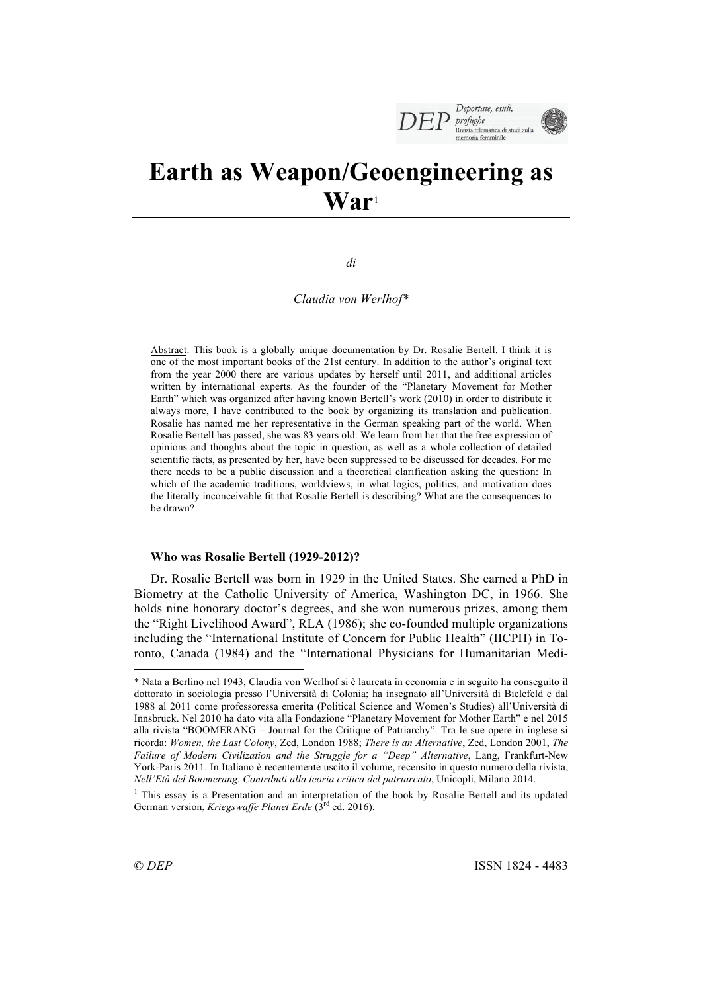

# **Earth as Weapon/Geoengineering as War**<sup>1</sup>

*di*

*Claudia von Werlhof\**

Abstract: This book is a globally unique documentation by Dr. Rosalie Bertell. I think it is one of the most important books of the 21st century. In addition to the author's original text from the year 2000 there are various updates by herself until 2011, and additional articles written by international experts. As the founder of the "Planetary Movement for Mother Earth" which was organized after having known Bertell's work (2010) in order to distribute it always more, I have contributed to the book by organizing its translation and publication. Rosalie has named me her representative in the German speaking part of the world. When Rosalie Bertell has passed, she was 83 years old. We learn from her that the free expression of opinions and thoughts about the topic in question, as well as a whole collection of detailed scientific facts, as presented by her, have been suppressed to be discussed for decades. For me there needs to be a public discussion and a theoretical clarification asking the question: In which of the academic traditions, worldviews, in what logics, politics, and motivation does the literally inconceivable fit that Rosalie Bertell is describing? What are the consequences to be drawn?

## **Who was Rosalie Bertell (1929-2012)?**

Dr. Rosalie Bertell was born in 1929 in the United States. She earned a PhD in Biometry at the Catholic University of America, Washington DC, in 1966. She holds nine honorary doctor's degrees, and she won numerous prizes, among them the "Right Livelihood Award", RLA (1986); she co-founded multiple organizations including the "International Institute of Concern for Public Health" (IICPH) in Toronto, Canada (1984) and the "International Physicians for Humanitarian Medi-

 $\overline{a}$ 

<sup>\*</sup> Nata a Berlino nel 1943, Claudia von Werlhof si è laureata in economia e in seguito ha conseguito il dottorato in sociologia presso l'Università di Colonia; ha insegnato all'Università di Bielefeld e dal 1988 al 2011 come professoressa emerita (Political Science and Women's Studies) all'Università di Innsbruck. Nel 2010 ha dato vita alla Fondazione "Planetary Movement for Mother Earth" e nel 2015 alla rivista "BOOMERANG – Journal for the Critique of Patriarchy". Tra le sue opere in inglese si ricorda: *Women, the Last Colony*, Zed, London 1988; *There is an Alternative*, Zed, London 2001, *The Failure of Modern Civilization and the Struggle for a "Deep" Alternative*, Lang, Frankfurt-New York-Paris 2011. In Italiano è recentemente uscito il volume, recensito in questo numero della rivista, *Nell'Età del Boomerang. Contributi alla teoria critica del patriarcato*, Unicopli, Milano 2014.

<sup>&</sup>lt;sup>1</sup> This essay is a Presentation and an interpretation of the book by Rosalie Bertell and its updated German version, *Kriegswaffe Planet Erde* (3<sup>rd</sup> ed. 2016).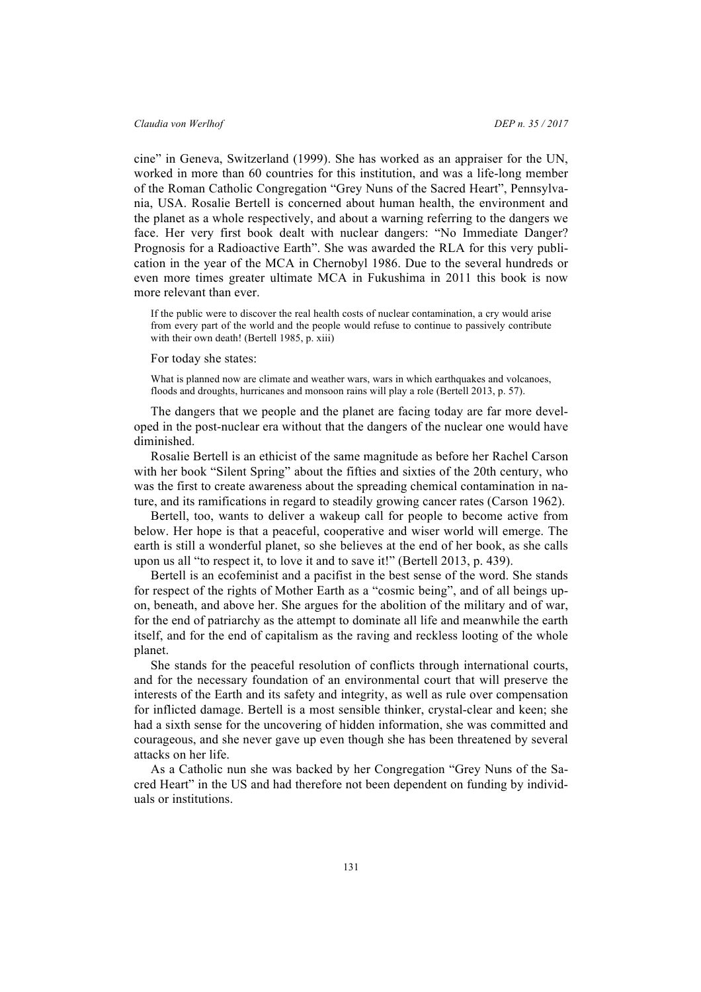cine" in Geneva, Switzerland (1999). She has worked as an appraiser for the UN, worked in more than 60 countries for this institution, and was a life-long member of the Roman Catholic Congregation "Grey Nuns of the Sacred Heart", Pennsylvania, USA. Rosalie Bertell is concerned about human health, the environment and the planet as a whole respectively, and about a warning referring to the dangers we face. Her very first book dealt with nuclear dangers: "No Immediate Danger? Prognosis for a Radioactive Earth". She was awarded the RLA for this very publication in the year of the MCA in Chernobyl 1986. Due to the several hundreds or even more times greater ultimate MCA in Fukushima in 2011 this book is now more relevant than ever.

If the public were to discover the real health costs of nuclear contamination, a cry would arise from every part of the world and the people would refuse to continue to passively contribute with their own death! (Bertell 1985, p. xiii)

For today she states:

What is planned now are climate and weather wars, wars in which earthquakes and volcanoes, floods and droughts, hurricanes and monsoon rains will play a role (Bertell 2013, p. 57).

The dangers that we people and the planet are facing today are far more developed in the post-nuclear era without that the dangers of the nuclear one would have diminished.

Rosalie Bertell is an ethicist of the same magnitude as before her Rachel Carson with her book "Silent Spring" about the fifties and sixties of the 20th century, who was the first to create awareness about the spreading chemical contamination in nature, and its ramifications in regard to steadily growing cancer rates (Carson 1962).

Bertell, too, wants to deliver a wakeup call for people to become active from below. Her hope is that a peaceful, cooperative and wiser world will emerge. The earth is still a wonderful planet, so she believes at the end of her book, as she calls upon us all "to respect it, to love it and to save it!" (Bertell 2013, p. 439).

Bertell is an ecofeminist and a pacifist in the best sense of the word. She stands for respect of the rights of Mother Earth as a "cosmic being", and of all beings upon, beneath, and above her. She argues for the abolition of the military and of war, for the end of patriarchy as the attempt to dominate all life and meanwhile the earth itself, and for the end of capitalism as the raving and reckless looting of the whole planet.

She stands for the peaceful resolution of conflicts through international courts, and for the necessary foundation of an environmental court that will preserve the interests of the Earth and its safety and integrity, as well as rule over compensation for inflicted damage. Bertell is a most sensible thinker, crystal-clear and keen; she had a sixth sense for the uncovering of hidden information, she was committed and courageous, and she never gave up even though she has been threatened by several attacks on her life.

As a Catholic nun she was backed by her Congregation "Grey Nuns of the Sacred Heart" in the US and had therefore not been dependent on funding by individuals or institutions.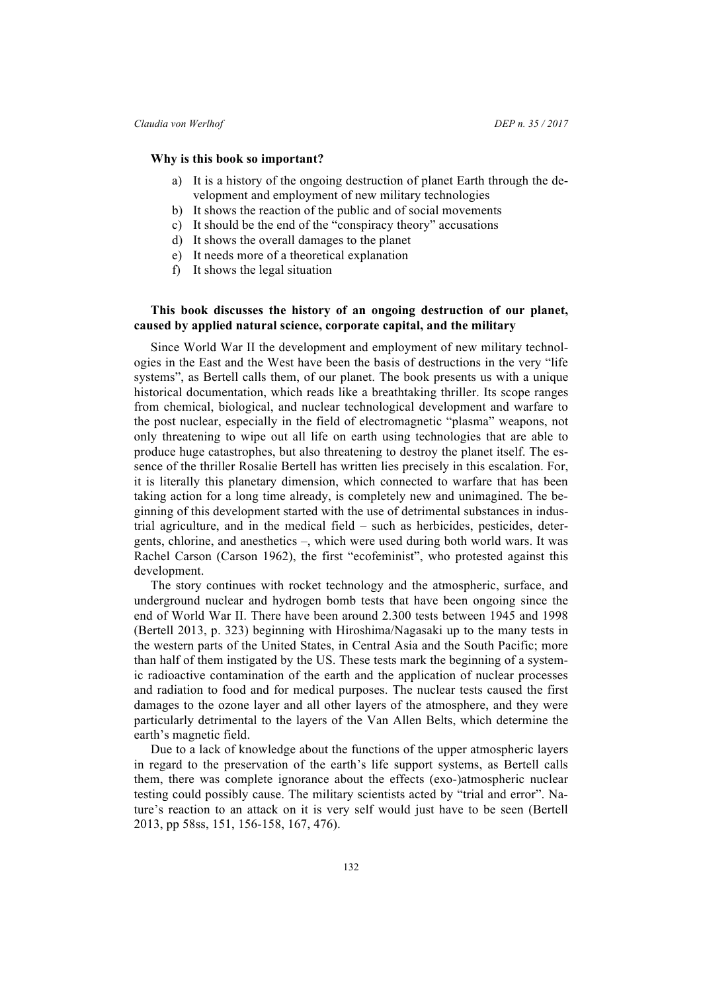#### **Why is this book so important?**

- a) It is a history of the ongoing destruction of planet Earth through the development and employment of new military technologies
- b) It shows the reaction of the public and of social movements
- c) It should be the end of the "conspiracy theory" accusations
- d) It shows the overall damages to the planet
- e) It needs more of a theoretical explanation
- f) It shows the legal situation

# **This book discusses the history of an ongoing destruction of our planet, caused by applied natural science, corporate capital, and the military**

Since World War II the development and employment of new military technologies in the East and the West have been the basis of destructions in the very "life systems", as Bertell calls them, of our planet. The book presents us with a unique historical documentation, which reads like a breathtaking thriller. Its scope ranges from chemical, biological, and nuclear technological development and warfare to the post nuclear, especially in the field of electromagnetic "plasma" weapons, not only threatening to wipe out all life on earth using technologies that are able to produce huge catastrophes, but also threatening to destroy the planet itself. The essence of the thriller Rosalie Bertell has written lies precisely in this escalation. For, it is literally this planetary dimension, which connected to warfare that has been taking action for a long time already, is completely new and unimagined. The beginning of this development started with the use of detrimental substances in industrial agriculture, and in the medical field – such as herbicides, pesticides, detergents, chlorine, and anesthetics –, which were used during both world wars. It was Rachel Carson (Carson 1962), the first "ecofeminist", who protested against this development.

The story continues with rocket technology and the atmospheric, surface, and underground nuclear and hydrogen bomb tests that have been ongoing since the end of World War II. There have been around 2.300 tests between 1945 and 1998 (Bertell 2013, p. 323) beginning with Hiroshima/Nagasaki up to the many tests in the western parts of the United States, in Central Asia and the South Pacific; more than half of them instigated by the US. These tests mark the beginning of a systemic radioactive contamination of the earth and the application of nuclear processes and radiation to food and for medical purposes. The nuclear tests caused the first damages to the ozone layer and all other layers of the atmosphere, and they were particularly detrimental to the layers of the Van Allen Belts, which determine the earth's magnetic field.

Due to a lack of knowledge about the functions of the upper atmospheric layers in regard to the preservation of the earth's life support systems, as Bertell calls them, there was complete ignorance about the effects (exo-)atmospheric nuclear testing could possibly cause. The military scientists acted by "trial and error". Nature's reaction to an attack on it is very self would just have to be seen (Bertell 2013, pp 58ss, 151, 156-158, 167, 476).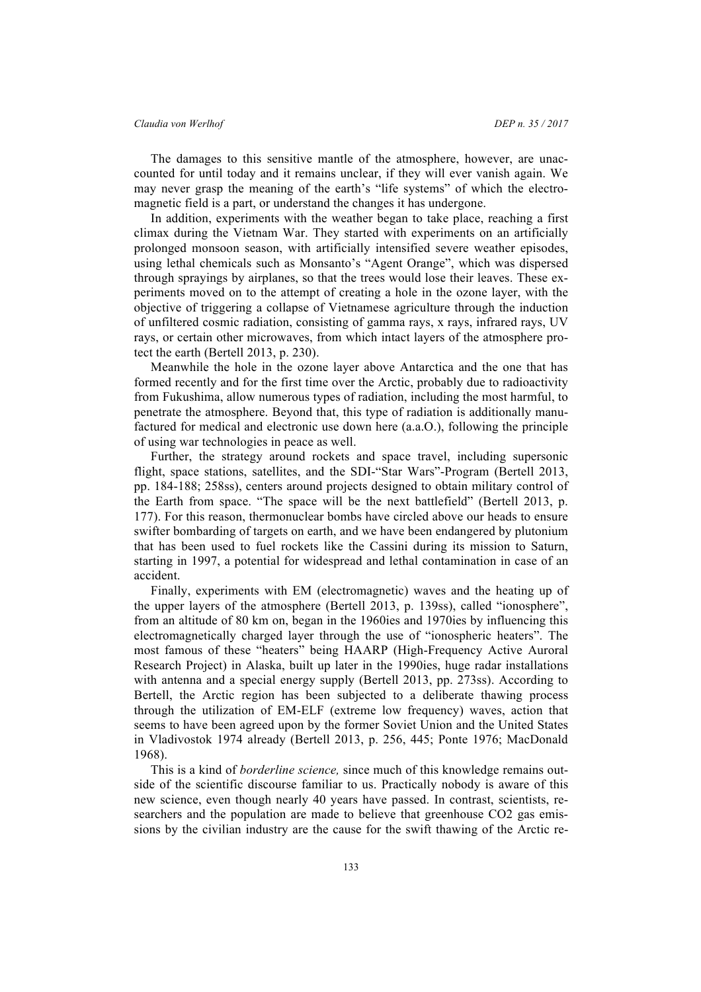The damages to this sensitive mantle of the atmosphere, however, are unaccounted for until today and it remains unclear, if they will ever vanish again. We may never grasp the meaning of the earth's "life systems" of which the electromagnetic field is a part, or understand the changes it has undergone.

In addition, experiments with the weather began to take place, reaching a first climax during the Vietnam War. They started with experiments on an artificially prolonged monsoon season, with artificially intensified severe weather episodes, using lethal chemicals such as Monsanto's "Agent Orange", which was dispersed through sprayings by airplanes, so that the trees would lose their leaves. These experiments moved on to the attempt of creating a hole in the ozone layer, with the objective of triggering a collapse of Vietnamese agriculture through the induction of unfiltered cosmic radiation, consisting of gamma rays, x rays, infrared rays, UV rays, or certain other microwaves, from which intact layers of the atmosphere protect the earth (Bertell 2013, p. 230).

Meanwhile the hole in the ozone layer above Antarctica and the one that has formed recently and for the first time over the Arctic, probably due to radioactivity from Fukushima, allow numerous types of radiation, including the most harmful, to penetrate the atmosphere. Beyond that, this type of radiation is additionally manufactured for medical and electronic use down here (a.a.O.), following the principle of using war technologies in peace as well.

Further, the strategy around rockets and space travel, including supersonic flight, space stations, satellites, and the SDI-"Star Wars"-Program (Bertell 2013, pp. 184-188; 258ss), centers around projects designed to obtain military control of the Earth from space. "The space will be the next battlefield" (Bertell 2013, p. 177). For this reason, thermonuclear bombs have circled above our heads to ensure swifter bombarding of targets on earth, and we have been endangered by plutonium that has been used to fuel rockets like the Cassini during its mission to Saturn, starting in 1997, a potential for widespread and lethal contamination in case of an accident.

Finally, experiments with EM (electromagnetic) waves and the heating up of the upper layers of the atmosphere (Bertell 2013, p. 139ss), called "ionosphere", from an altitude of 80 km on, began in the 1960ies and 1970ies by influencing this electromagnetically charged layer through the use of "ionospheric heaters". The most famous of these "heaters" being HAARP (High-Frequency Active Auroral Research Project) in Alaska, built up later in the 1990ies, huge radar installations with antenna and a special energy supply (Bertell 2013, pp. 273ss). According to Bertell, the Arctic region has been subjected to a deliberate thawing process through the utilization of EM-ELF (extreme low frequency) waves, action that seems to have been agreed upon by the former Soviet Union and the United States in Vladivostok 1974 already (Bertell 2013, p. 256, 445; Ponte 1976; MacDonald 1968).

This is a kind of *borderline science,* since much of this knowledge remains outside of the scientific discourse familiar to us. Practically nobody is aware of this new science, even though nearly 40 years have passed. In contrast, scientists, researchers and the population are made to believe that greenhouse CO2 gas emissions by the civilian industry are the cause for the swift thawing of the Arctic re-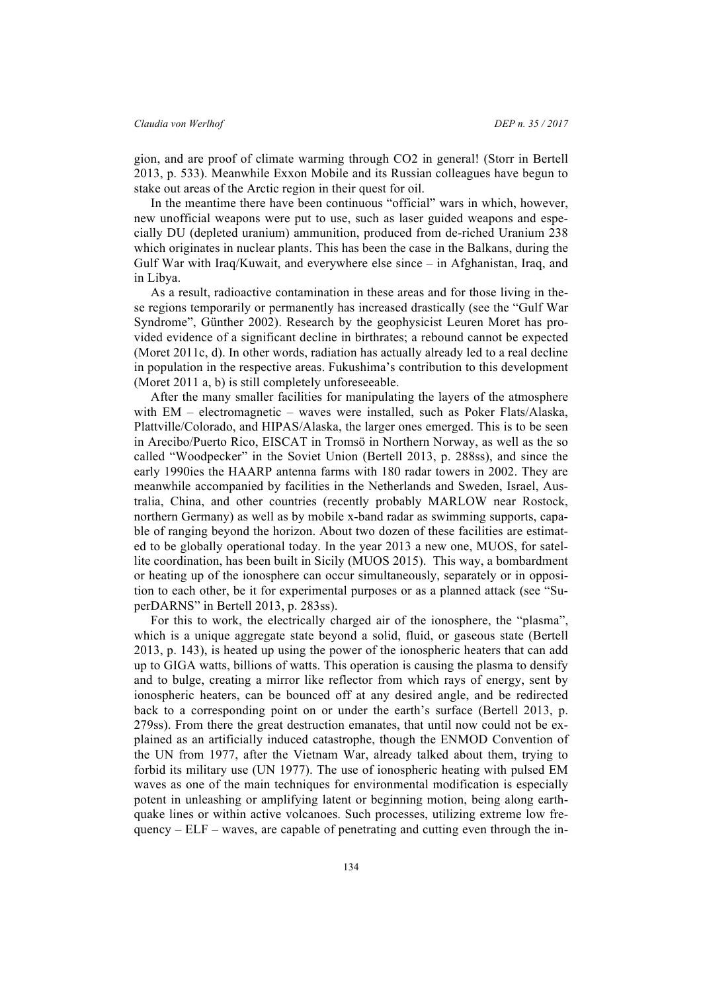gion, and are proof of climate warming through CO2 in general! (Storr in Bertell 2013, p. 533). Meanwhile Exxon Mobile and its Russian colleagues have begun to stake out areas of the Arctic region in their quest for oil.

In the meantime there have been continuous "official" wars in which, however, new unofficial weapons were put to use, such as laser guided weapons and especially DU (depleted uranium) ammunition, produced from de-riched Uranium 238 which originates in nuclear plants. This has been the case in the Balkans, during the Gulf War with Iraq/Kuwait, and everywhere else since – in Afghanistan, Iraq, and in Libya.

As a result, radioactive contamination in these areas and for those living in these regions temporarily or permanently has increased drastically (see the "Gulf War Syndrome", Günther 2002). Research by the geophysicist Leuren Moret has provided evidence of a significant decline in birthrates; a rebound cannot be expected (Moret 2011c, d). In other words, radiation has actually already led to a real decline in population in the respective areas. Fukushima's contribution to this development (Moret 2011 a, b) is still completely unforeseeable.

After the many smaller facilities for manipulating the layers of the atmosphere with EM – electromagnetic – waves were installed, such as Poker Flats/Alaska, Plattville/Colorado, and HIPAS/Alaska, the larger ones emerged. This is to be seen in Arecibo/Puerto Rico, EISCAT in Tromsö in Northern Norway, as well as the so called "Woodpecker" in the Soviet Union (Bertell 2013, p. 288ss), and since the early 1990ies the HAARP antenna farms with 180 radar towers in 2002. They are meanwhile accompanied by facilities in the Netherlands and Sweden, Israel, Australia, China, and other countries (recently probably MARLOW near Rostock, northern Germany) as well as by mobile x-band radar as swimming supports, capable of ranging beyond the horizon. About two dozen of these facilities are estimated to be globally operational today. In the year 2013 a new one, MUOS, for satellite coordination, has been built in Sicily (MUOS 2015). This way, a bombardment or heating up of the ionosphere can occur simultaneously, separately or in opposition to each other, be it for experimental purposes or as a planned attack (see "SuperDARNS" in Bertell 2013, p. 283ss).

For this to work, the electrically charged air of the ionosphere, the "plasma", which is a unique aggregate state beyond a solid, fluid, or gaseous state (Bertell 2013, p. 143), is heated up using the power of the ionospheric heaters that can add up to GIGA watts, billions of watts. This operation is causing the plasma to densify and to bulge, creating a mirror like reflector from which rays of energy, sent by ionospheric heaters, can be bounced off at any desired angle, and be redirected back to a corresponding point on or under the earth's surface (Bertell 2013, p. 279ss). From there the great destruction emanates, that until now could not be explained as an artificially induced catastrophe, though the ENMOD Convention of the UN from 1977, after the Vietnam War, already talked about them, trying to forbid its military use (UN 1977). The use of ionospheric heating with pulsed EM waves as one of the main techniques for environmental modification is especially potent in unleashing or amplifying latent or beginning motion, being along earthquake lines or within active volcanoes. Such processes, utilizing extreme low frequency –  $ELF$  – waves, are capable of penetrating and cutting even through the in-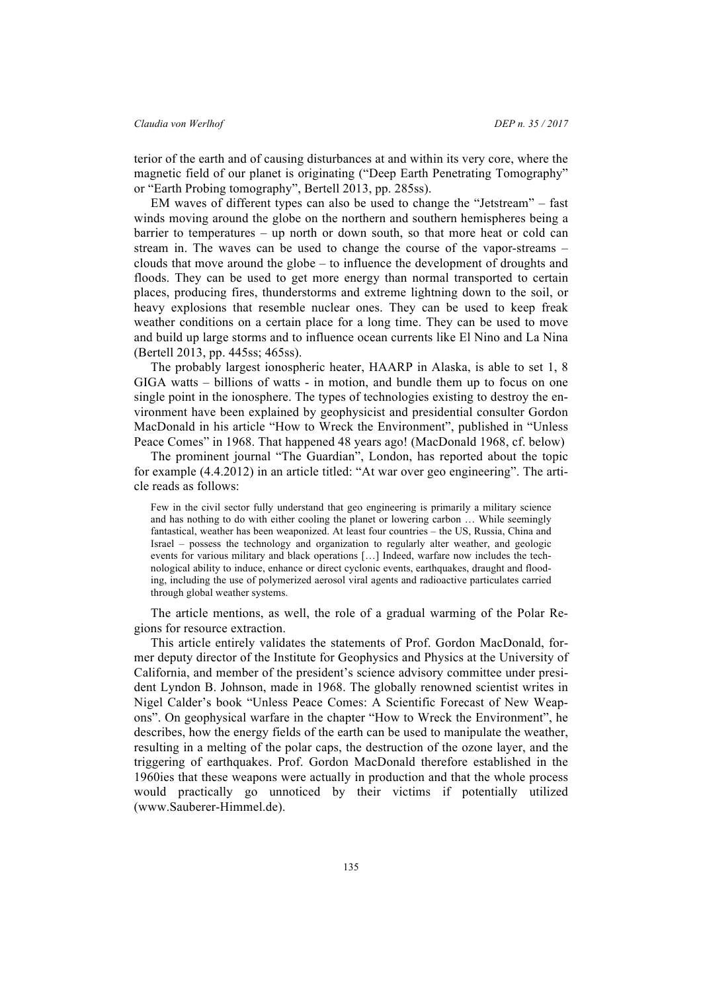terior of the earth and of causing disturbances at and within its very core, where the magnetic field of our planet is originating ("Deep Earth Penetrating Tomography" or "Earth Probing tomography", Bertell 2013, pp. 285ss).

EM waves of different types can also be used to change the "Jetstream" – fast winds moving around the globe on the northern and southern hemispheres being a barrier to temperatures – up north or down south, so that more heat or cold can stream in. The waves can be used to change the course of the vapor-streams – clouds that move around the globe – to influence the development of droughts and floods. They can be used to get more energy than normal transported to certain places, producing fires, thunderstorms and extreme lightning down to the soil, or heavy explosions that resemble nuclear ones. They can be used to keep freak weather conditions on a certain place for a long time. They can be used to move and build up large storms and to influence ocean currents like El Nino and La Nina (Bertell 2013, pp. 445ss; 465ss).

The probably largest ionospheric heater, HAARP in Alaska, is able to set 1, 8 GIGA watts – billions of watts - in motion, and bundle them up to focus on one single point in the ionosphere. The types of technologies existing to destroy the environment have been explained by geophysicist and presidential consulter Gordon MacDonald in his article "How to Wreck the Environment", published in "Unless Peace Comes" in 1968. That happened 48 years ago! (MacDonald 1968, cf. below)

The prominent journal "The Guardian", London, has reported about the topic for example (4.4.2012) in an article titled: "At war over geo engineering". The article reads as follows:

Few in the civil sector fully understand that geo engineering is primarily a military science and has nothing to do with either cooling the planet or lowering carbon … While seemingly fantastical, weather has been weaponized. At least four countries – the US, Russia, China and Israel – possess the technology and organization to regularly alter weather, and geologic events for various military and black operations […] Indeed, warfare now includes the technological ability to induce, enhance or direct cyclonic events, earthquakes, draught and flooding, including the use of polymerized aerosol viral agents and radioactive particulates carried through global weather systems.

The article mentions, as well, the role of a gradual warming of the Polar Regions for resource extraction.

This article entirely validates the statements of Prof. Gordon MacDonald, former deputy director of the Institute for Geophysics and Physics at the University of California, and member of the president's science advisory committee under president Lyndon B. Johnson, made in 1968. The globally renowned scientist writes in Nigel Calder's book "Unless Peace Comes: A Scientific Forecast of New Weapons". On geophysical warfare in the chapter "How to Wreck the Environment", he describes, how the energy fields of the earth can be used to manipulate the weather, resulting in a melting of the polar caps, the destruction of the ozone layer, and the triggering of earthquakes. Prof. Gordon MacDonald therefore established in the 1960ies that these weapons were actually in production and that the whole process would practically go unnoticed by their victims if potentially utilized (www.Sauberer-Himmel.de).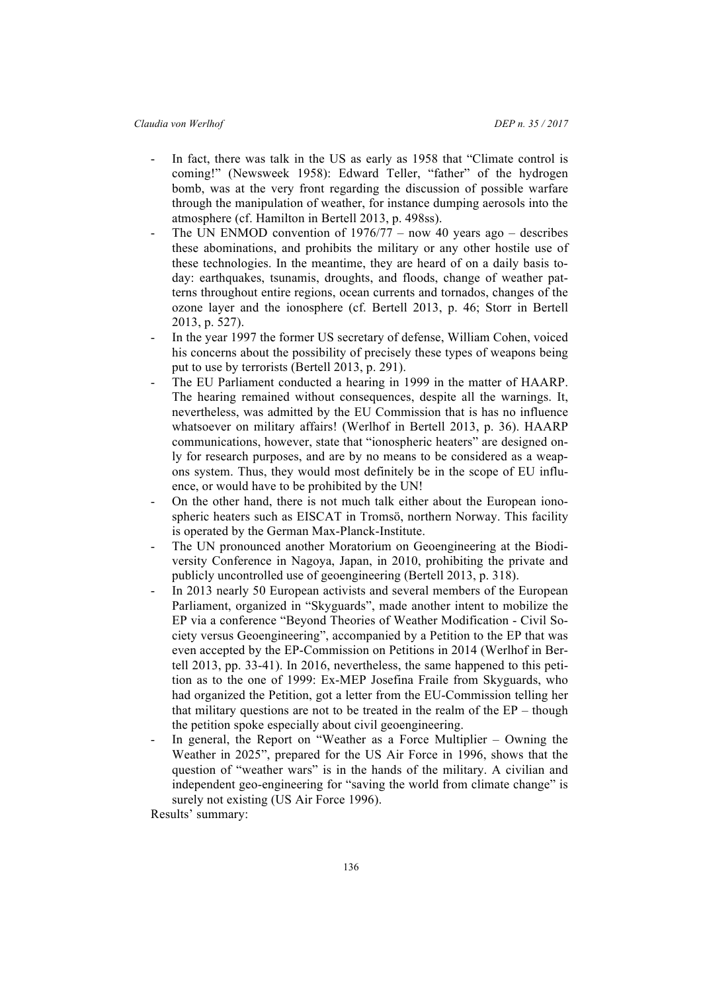- In fact, there was talk in the US as early as 1958 that "Climate control is coming!" (Newsweek 1958): Edward Teller, "father" of the hydrogen bomb, was at the very front regarding the discussion of possible warfare through the manipulation of weather, for instance dumping aerosols into the atmosphere (cf. Hamilton in Bertell 2013, p. 498ss).
- The UN ENMOD convention of  $1976/77 -$  now 40 years ago describes these abominations, and prohibits the military or any other hostile use of these technologies. In the meantime, they are heard of on a daily basis today: earthquakes, tsunamis, droughts, and floods, change of weather patterns throughout entire regions, ocean currents and tornados, changes of the ozone layer and the ionosphere (cf. Bertell 2013, p. 46; Storr in Bertell 2013, p. 527).
- In the year 1997 the former US secretary of defense, William Cohen, voiced his concerns about the possibility of precisely these types of weapons being put to use by terrorists (Bertell 2013, p. 291).
- The EU Parliament conducted a hearing in 1999 in the matter of HAARP. The hearing remained without consequences, despite all the warnings. It, nevertheless, was admitted by the EU Commission that is has no influence whatsoever on military affairs! (Werlhof in Bertell 2013, p. 36). HAARP communications, however, state that "ionospheric heaters" are designed only for research purposes, and are by no means to be considered as a weapons system. Thus, they would most definitely be in the scope of EU influence, or would have to be prohibited by the UN!
- On the other hand, there is not much talk either about the European ionospheric heaters such as EISCAT in Tromsö, northern Norway. This facility is operated by the German Max-Planck-Institute.
- The UN pronounced another Moratorium on Geoengineering at the Biodiversity Conference in Nagoya, Japan, in 2010, prohibiting the private and publicly uncontrolled use of geoengineering (Bertell 2013, p. 318).
- In 2013 nearly 50 European activists and several members of the European Parliament, organized in "Skyguards", made another intent to mobilize the EP via a conference "Beyond Theories of Weather Modification - Civil Society versus Geoengineering", accompanied by a Petition to the EP that was even accepted by the EP-Commission on Petitions in 2014 (Werlhof in Bertell 2013, pp. 33-41). In 2016, nevertheless, the same happened to this petition as to the one of 1999: Ex-MEP Josefina Fraile from Skyguards, who had organized the Petition, got a letter from the EU-Commission telling her that military questions are not to be treated in the realm of the  $EP$  – though the petition spoke especially about civil geoengineering.
- In general, the Report on "Weather as a Force Multiplier  $-$  Owning the Weather in 2025", prepared for the US Air Force in 1996, shows that the question of "weather wars" is in the hands of the military. A civilian and independent geo-engineering for "saving the world from climate change" is surely not existing (US Air Force 1996).

Results' summary: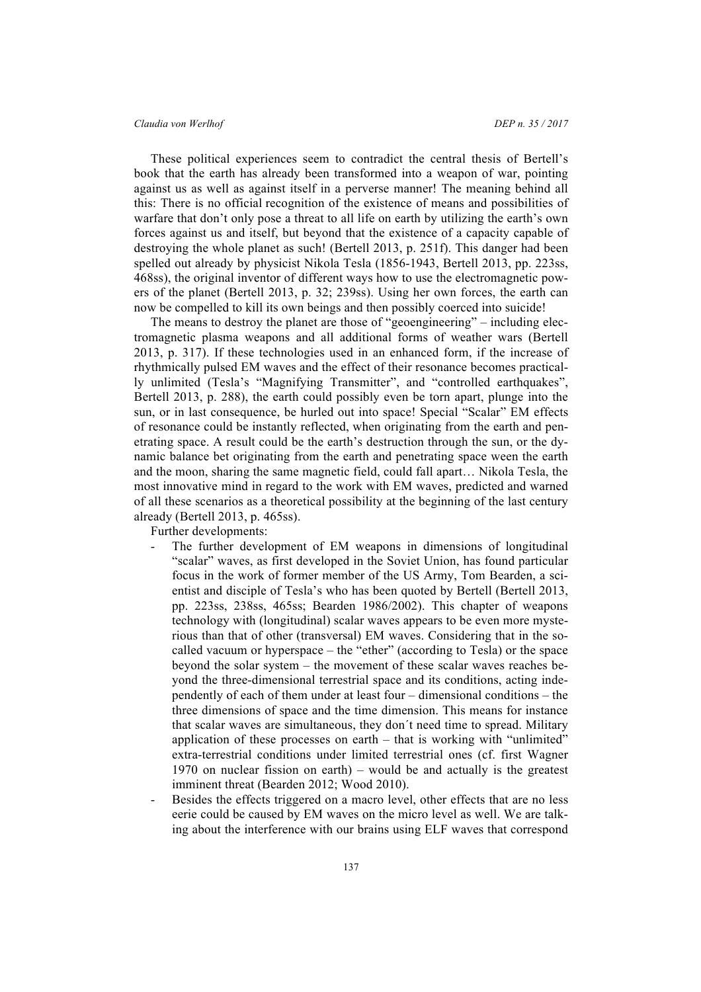These political experiences seem to contradict the central thesis of Bertell's book that the earth has already been transformed into a weapon of war, pointing against us as well as against itself in a perverse manner! The meaning behind all this: There is no official recognition of the existence of means and possibilities of warfare that don't only pose a threat to all life on earth by utilizing the earth's own forces against us and itself, but beyond that the existence of a capacity capable of destroying the whole planet as such! (Bertell 2013, p. 251f). This danger had been spelled out already by physicist Nikola Tesla (1856-1943, Bertell 2013, pp. 223ss, 468ss), the original inventor of different ways how to use the electromagnetic powers of the planet (Bertell 2013, p. 32; 239ss). Using her own forces, the earth can now be compelled to kill its own beings and then possibly coerced into suicide!

The means to destroy the planet are those of "geoengineering" – including electromagnetic plasma weapons and all additional forms of weather wars (Bertell 2013, p. 317). If these technologies used in an enhanced form, if the increase of rhythmically pulsed EM waves and the effect of their resonance becomes practically unlimited (Tesla's "Magnifying Transmitter", and "controlled earthquakes", Bertell 2013, p. 288), the earth could possibly even be torn apart, plunge into the sun, or in last consequence, be hurled out into space! Special "Scalar" EM effects of resonance could be instantly reflected, when originating from the earth and penetrating space. A result could be the earth's destruction through the sun, or the dynamic balance bet originating from the earth and penetrating space ween the earth and the moon, sharing the same magnetic field, could fall apart… Nikola Tesla, the most innovative mind in regard to the work with EM waves, predicted and warned of all these scenarios as a theoretical possibility at the beginning of the last century already (Bertell 2013, p. 465ss).

Further developments:

- The further development of EM weapons in dimensions of longitudinal "scalar" waves, as first developed in the Soviet Union, has found particular focus in the work of former member of the US Army, Tom Bearden, a scientist and disciple of Tesla's who has been quoted by Bertell (Bertell 2013, pp. 223ss, 238ss, 465ss; Bearden 1986/2002). This chapter of weapons technology with (longitudinal) scalar waves appears to be even more mysterious than that of other (transversal) EM waves. Considering that in the socalled vacuum or hyperspace – the "ether" (according to Tesla) or the space beyond the solar system – the movement of these scalar waves reaches beyond the three-dimensional terrestrial space and its conditions, acting independently of each of them under at least four – dimensional conditions – the three dimensions of space and the time dimension. This means for instance that scalar waves are simultaneous, they don´t need time to spread. Military application of these processes on earth – that is working with "unlimited" extra-terrestrial conditions under limited terrestrial ones (cf. first Wagner 1970 on nuclear fission on earth) – would be and actually is the greatest imminent threat (Bearden 2012; Wood 2010).
- Besides the effects triggered on a macro level, other effects that are no less eerie could be caused by EM waves on the micro level as well. We are talking about the interference with our brains using ELF waves that correspond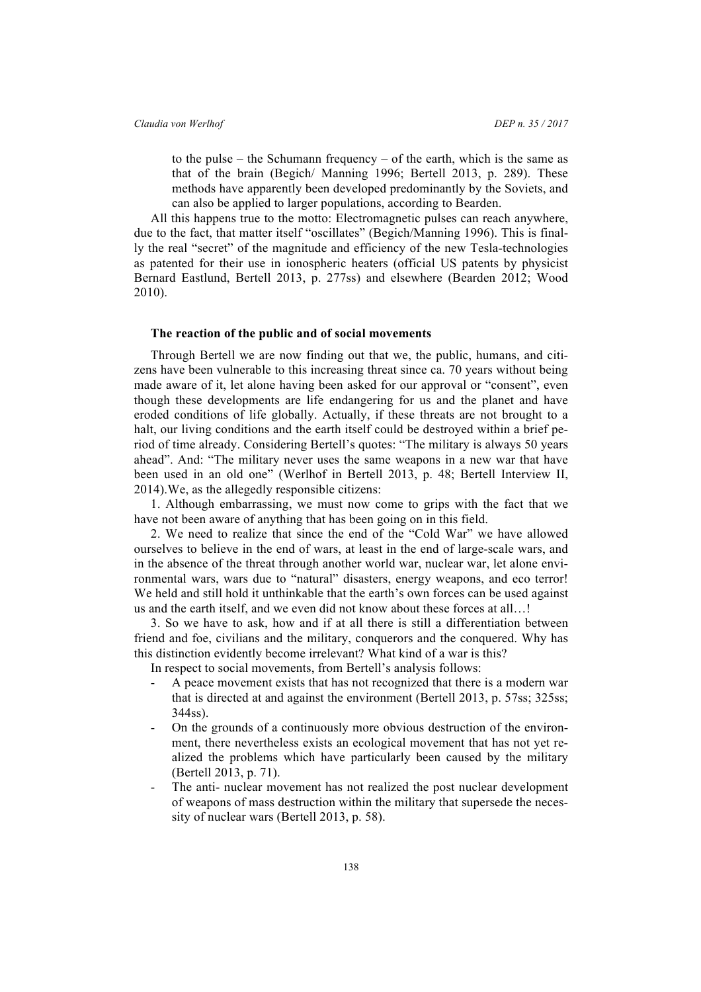to the pulse – the Schumann frequency – of the earth, which is the same as that of the brain (Begich/ Manning 1996; Bertell 2013, p. 289). These methods have apparently been developed predominantly by the Soviets, and can also be applied to larger populations, according to Bearden.

All this happens true to the motto: Electromagnetic pulses can reach anywhere, due to the fact, that matter itself "oscillates" (Begich/Manning 1996). This is finally the real "secret" of the magnitude and efficiency of the new Tesla-technologies as patented for their use in ionospheric heaters (official US patents by physicist Bernard Eastlund, Bertell 2013, p. 277ss) and elsewhere (Bearden 2012; Wood 2010).

## **The reaction of the public and of social movements**

Through Bertell we are now finding out that we, the public, humans, and citizens have been vulnerable to this increasing threat since ca. 70 years without being made aware of it, let alone having been asked for our approval or "consent", even though these developments are life endangering for us and the planet and have eroded conditions of life globally. Actually, if these threats are not brought to a halt, our living conditions and the earth itself could be destroyed within a brief period of time already. Considering Bertell's quotes: "The military is always 50 years ahead". And: "The military never uses the same weapons in a new war that have been used in an old one" (Werlhof in Bertell 2013, p. 48; Bertell Interview II, 2014).We, as the allegedly responsible citizens:

1. Although embarrassing, we must now come to grips with the fact that we have not been aware of anything that has been going on in this field.

2. We need to realize that since the end of the "Cold War" we have allowed ourselves to believe in the end of wars, at least in the end of large-scale wars, and in the absence of the threat through another world war, nuclear war, let alone environmental wars, wars due to "natural" disasters, energy weapons, and eco terror! We held and still hold it unthinkable that the earth's own forces can be used against us and the earth itself, and we even did not know about these forces at all…!

3. So we have to ask, how and if at all there is still a differentiation between friend and foe, civilians and the military, conquerors and the conquered. Why has this distinction evidently become irrelevant? What kind of a war is this?

In respect to social movements, from Bertell's analysis follows:

- A peace movement exists that has not recognized that there is a modern war that is directed at and against the environment (Bertell 2013, p. 57ss; 325ss; 344ss).
- On the grounds of a continuously more obvious destruction of the environment, there nevertheless exists an ecological movement that has not yet realized the problems which have particularly been caused by the military (Bertell 2013, p. 71).
- The anti- nuclear movement has not realized the post nuclear development of weapons of mass destruction within the military that supersede the necessity of nuclear wars (Bertell 2013, p. 58).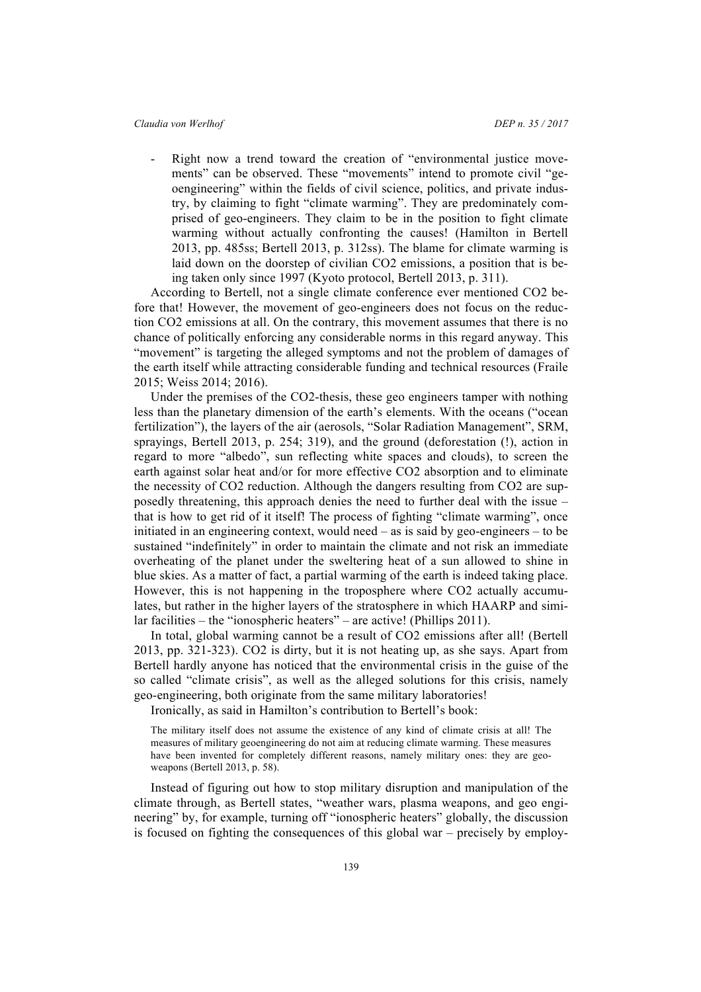Right now a trend toward the creation of "environmental justice movements" can be observed. These "movements" intend to promote civil "geoengineering" within the fields of civil science, politics, and private industry, by claiming to fight "climate warming". They are predominately comprised of geo-engineers. They claim to be in the position to fight climate warming without actually confronting the causes! (Hamilton in Bertell 2013, pp. 485ss; Bertell 2013, p. 312ss). The blame for climate warming is laid down on the doorstep of civilian CO2 emissions, a position that is being taken only since 1997 (Kyoto protocol, Bertell 2013, p. 311).

According to Bertell, not a single climate conference ever mentioned CO2 before that! However, the movement of geo-engineers does not focus on the reduction CO2 emissions at all. On the contrary, this movement assumes that there is no chance of politically enforcing any considerable norms in this regard anyway. This "movement" is targeting the alleged symptoms and not the problem of damages of the earth itself while attracting considerable funding and technical resources (Fraile 2015; Weiss 2014; 2016).

Under the premises of the CO2-thesis, these geo engineers tamper with nothing less than the planetary dimension of the earth's elements. With the oceans ("ocean fertilization"), the layers of the air (aerosols, "Solar Radiation Management", SRM, sprayings, Bertell 2013, p. 254; 319), and the ground (deforestation (!), action in regard to more "albedo", sun reflecting white spaces and clouds), to screen the earth against solar heat and/or for more effective CO2 absorption and to eliminate the necessity of CO2 reduction. Although the dangers resulting from CO2 are supposedly threatening, this approach denies the need to further deal with the issue – that is how to get rid of it itself! The process of fighting "climate warming", once initiated in an engineering context, would need – as is said by geo-engineers – to be sustained "indefinitely" in order to maintain the climate and not risk an immediate overheating of the planet under the sweltering heat of a sun allowed to shine in blue skies. As a matter of fact, a partial warming of the earth is indeed taking place. However, this is not happening in the troposphere where CO2 actually accumulates, but rather in the higher layers of the stratosphere in which HAARP and similar facilities – the "ionospheric heaters" – are active! (Phillips 2011).

In total, global warming cannot be a result of CO2 emissions after all! (Bertell 2013, pp. 321-323). CO2 is dirty, but it is not heating up, as she says. Apart from Bertell hardly anyone has noticed that the environmental crisis in the guise of the so called "climate crisis", as well as the alleged solutions for this crisis, namely geo-engineering, both originate from the same military laboratories!

Ironically, as said in Hamilton's contribution to Bertell's book:

The military itself does not assume the existence of any kind of climate crisis at all! The measures of military geoengineering do not aim at reducing climate warming. These measures have been invented for completely different reasons, namely military ones: they are geoweapons (Bertell 2013, p. 58).

Instead of figuring out how to stop military disruption and manipulation of the climate through, as Bertell states, "weather wars, plasma weapons, and geo engineering" by, for example, turning off "ionospheric heaters" globally, the discussion is focused on fighting the consequences of this global war – precisely by employ-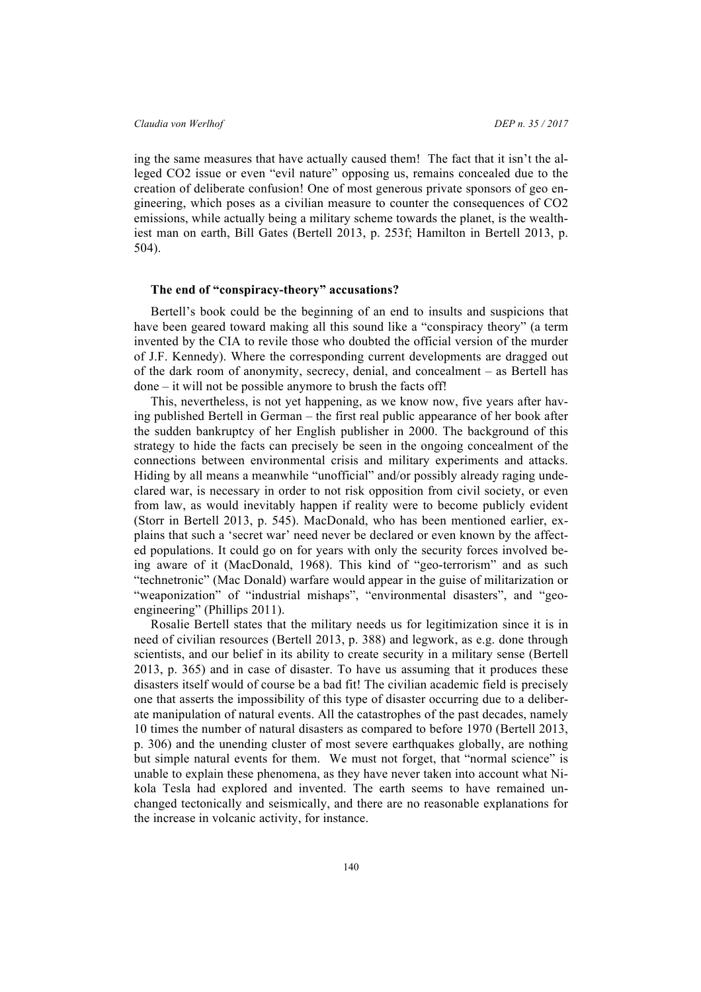ing the same measures that have actually caused them! The fact that it isn't the alleged CO2 issue or even "evil nature" opposing us, remains concealed due to the creation of deliberate confusion! One of most generous private sponsors of geo engineering, which poses as a civilian measure to counter the consequences of CO2 emissions, while actually being a military scheme towards the planet, is the wealthiest man on earth, Bill Gates (Bertell 2013, p. 253f; Hamilton in Bertell 2013, p. 504).

## **The end of "conspiracy-theory" accusations?**

Bertell's book could be the beginning of an end to insults and suspicions that have been geared toward making all this sound like a "conspiracy theory" (a term invented by the CIA to revile those who doubted the official version of the murder of J.F. Kennedy). Where the corresponding current developments are dragged out of the dark room of anonymity, secrecy, denial, and concealment – as Bertell has done – it will not be possible anymore to brush the facts off!

This, nevertheless, is not yet happening, as we know now, five years after having published Bertell in German – the first real public appearance of her book after the sudden bankruptcy of her English publisher in 2000. The background of this strategy to hide the facts can precisely be seen in the ongoing concealment of the connections between environmental crisis and military experiments and attacks. Hiding by all means a meanwhile "unofficial" and/or possibly already raging undeclared war, is necessary in order to not risk opposition from civil society, or even from law, as would inevitably happen if reality were to become publicly evident (Storr in Bertell 2013, p. 545). MacDonald, who has been mentioned earlier, explains that such a 'secret war' need never be declared or even known by the affected populations. It could go on for years with only the security forces involved being aware of it (MacDonald, 1968). This kind of "geo-terrorism" and as such "technetronic" (Mac Donald) warfare would appear in the guise of militarization or "weaponization" of "industrial mishaps", "environmental disasters", and "geoengineering" (Phillips 2011).

Rosalie Bertell states that the military needs us for legitimization since it is in need of civilian resources (Bertell 2013, p. 388) and legwork, as e.g. done through scientists, and our belief in its ability to create security in a military sense (Bertell 2013, p. 365) and in case of disaster. To have us assuming that it produces these disasters itself would of course be a bad fit! The civilian academic field is precisely one that asserts the impossibility of this type of disaster occurring due to a deliberate manipulation of natural events. All the catastrophes of the past decades, namely 10 times the number of natural disasters as compared to before 1970 (Bertell 2013, p. 306) and the unending cluster of most severe earthquakes globally, are nothing but simple natural events for them. We must not forget, that "normal science" is unable to explain these phenomena, as they have never taken into account what Nikola Tesla had explored and invented. The earth seems to have remained unchanged tectonically and seismically, and there are no reasonable explanations for the increase in volcanic activity, for instance.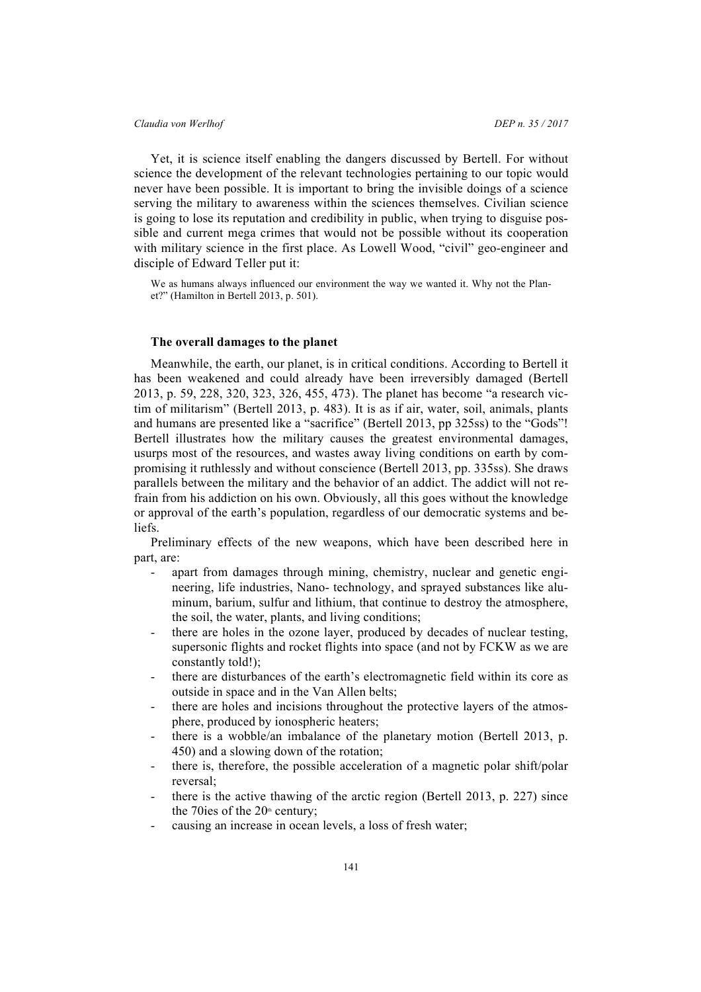Yet, it is science itself enabling the dangers discussed by Bertell. For without science the development of the relevant technologies pertaining to our topic would never have been possible. It is important to bring the invisible doings of a science serving the military to awareness within the sciences themselves. Civilian science is going to lose its reputation and credibility in public, when trying to disguise possible and current mega crimes that would not be possible without its cooperation with military science in the first place. As Lowell Wood, "civil" geo-engineer and disciple of Edward Teller put it:

We as humans always influenced our environment the way we wanted it. Why not the Planet?" (Hamilton in Bertell 2013, p. 501).

## **The overall damages to the planet**

Meanwhile, the earth, our planet, is in critical conditions. According to Bertell it has been weakened and could already have been irreversibly damaged (Bertell 2013, p. 59, 228, 320, 323, 326, 455, 473). The planet has become "a research victim of militarism" (Bertell 2013, p. 483). It is as if air, water, soil, animals, plants and humans are presented like a "sacrifice" (Bertell 2013, pp 325ss) to the "Gods"! Bertell illustrates how the military causes the greatest environmental damages, usurps most of the resources, and wastes away living conditions on earth by compromising it ruthlessly and without conscience (Bertell 2013, pp. 335ss). She draws parallels between the military and the behavior of an addict. The addict will not refrain from his addiction on his own. Obviously, all this goes without the knowledge or approval of the earth's population, regardless of our democratic systems and beliefs.

Preliminary effects of the new weapons, which have been described here in part, are:

- apart from damages through mining, chemistry, nuclear and genetic engineering, life industries, Nano- technology, and sprayed substances like aluminum, barium, sulfur and lithium, that continue to destroy the atmosphere, the soil, the water, plants, and living conditions;
- there are holes in the ozone layer, produced by decades of nuclear testing, supersonic flights and rocket flights into space (and not by FCKW as we are constantly told!);
- there are disturbances of the earth's electromagnetic field within its core as outside in space and in the Van Allen belts;
- there are holes and incisions throughout the protective layers of the atmosphere, produced by ionospheric heaters;
- there is a wobble/an imbalance of the planetary motion (Bertell 2013, p. 450) and a slowing down of the rotation;
- there is, therefore, the possible acceleration of a magnetic polar shift/polar reversal;
- there is the active thawing of the arctic region (Bertell 2013, p. 227) since the 70ies of the  $20<sup>th</sup>$  century;
- causing an increase in ocean levels, a loss of fresh water;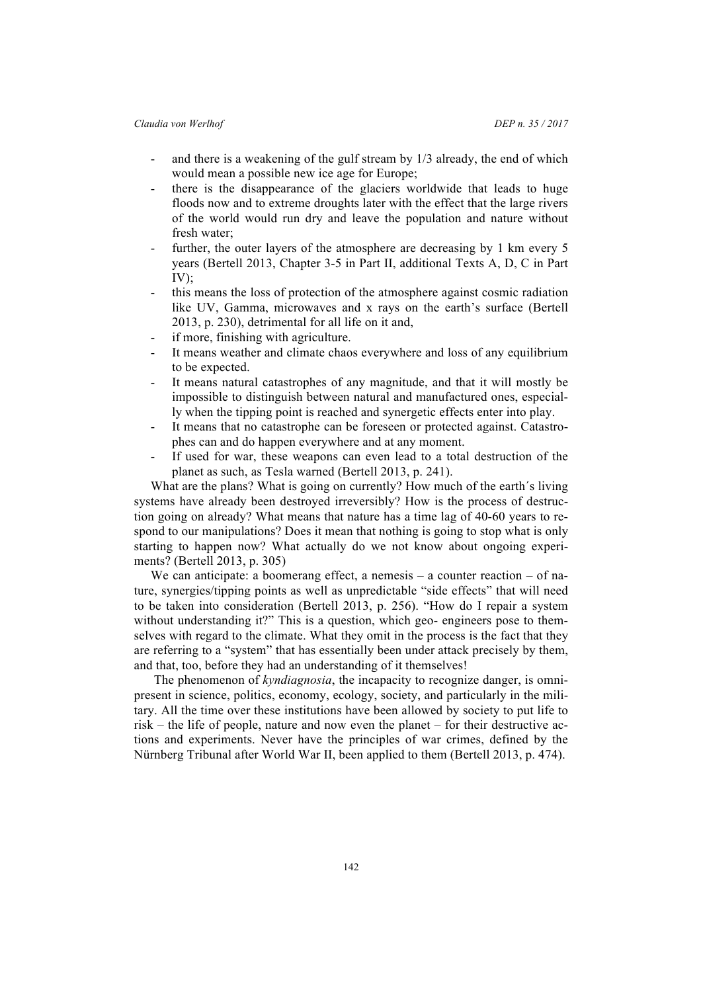- and there is a weakening of the gulf stream by  $1/3$  already, the end of which would mean a possible new ice age for Europe;
- there is the disappearance of the glaciers worldwide that leads to huge floods now and to extreme droughts later with the effect that the large rivers of the world would run dry and leave the population and nature without fresh water;
- further, the outer layers of the atmosphere are decreasing by 1 km every 5 years (Bertell 2013, Chapter 3-5 in Part II, additional Texts A, D, C in Part  $IV$ );
- this means the loss of protection of the atmosphere against cosmic radiation like UV, Gamma, microwaves and x rays on the earth's surface (Bertell 2013, p. 230), detrimental for all life on it and,
- if more, finishing with agriculture.
- It means weather and climate chaos everywhere and loss of any equilibrium to be expected.
- It means natural catastrophes of any magnitude, and that it will mostly be impossible to distinguish between natural and manufactured ones, especially when the tipping point is reached and synergetic effects enter into play.
- It means that no catastrophe can be foreseen or protected against. Catastrophes can and do happen everywhere and at any moment.
- If used for war, these weapons can even lead to a total destruction of the planet as such, as Tesla warned (Bertell 2013, p. 241).

What are the plans? What is going on currently? How much of the earth's living systems have already been destroyed irreversibly? How is the process of destruction going on already? What means that nature has a time lag of 40-60 years to respond to our manipulations? Does it mean that nothing is going to stop what is only starting to happen now? What actually do we not know about ongoing experiments? (Bertell 2013, p. 305)

We can anticipate: a boomerang effect, a nemesis – a counter reaction – of nature, synergies/tipping points as well as unpredictable "side effects" that will need to be taken into consideration (Bertell 2013, p. 256). "How do I repair a system without understanding it?" This is a question, which geo- engineers pose to themselves with regard to the climate. What they omit in the process is the fact that they are referring to a "system" that has essentially been under attack precisely by them, and that, too, before they had an understanding of it themselves!

The phenomenon of *kyndiagnosia*, the incapacity to recognize danger, is omnipresent in science, politics, economy, ecology, society, and particularly in the military. All the time over these institutions have been allowed by society to put life to risk – the life of people, nature and now even the planet – for their destructive actions and experiments. Never have the principles of war crimes, defined by the Nürnberg Tribunal after World War II, been applied to them (Bertell 2013, p. 474).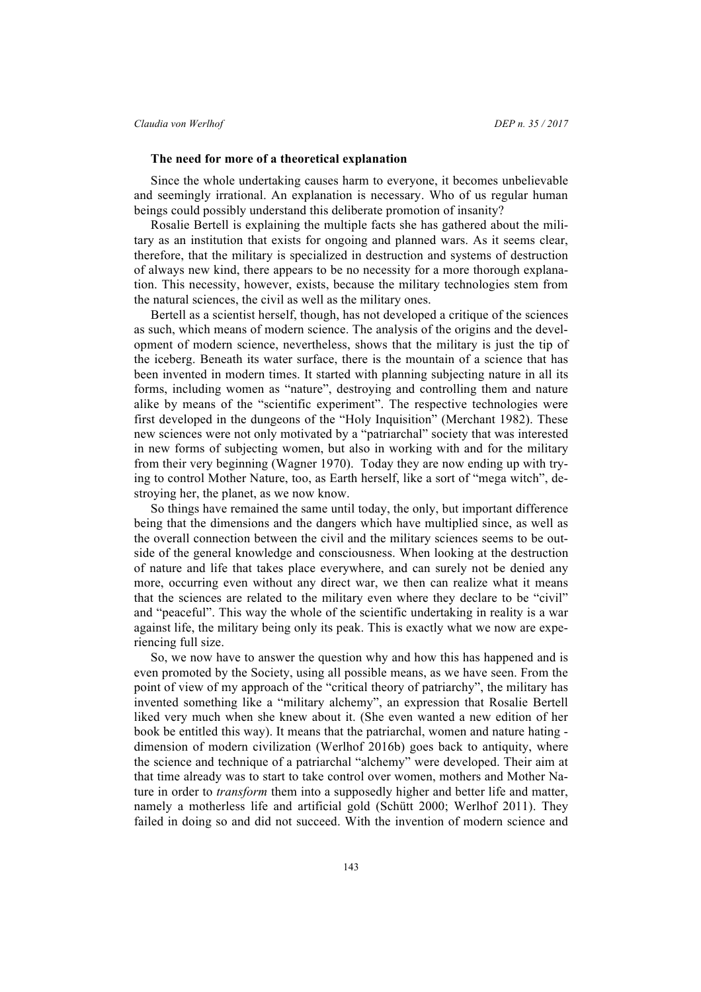## **The need for more of a theoretical explanation**

Since the whole undertaking causes harm to everyone, it becomes unbelievable and seemingly irrational. An explanation is necessary. Who of us regular human beings could possibly understand this deliberate promotion of insanity?

Rosalie Bertell is explaining the multiple facts she has gathered about the military as an institution that exists for ongoing and planned wars. As it seems clear, therefore, that the military is specialized in destruction and systems of destruction of always new kind, there appears to be no necessity for a more thorough explanation. This necessity, however, exists, because the military technologies stem from the natural sciences, the civil as well as the military ones.

Bertell as a scientist herself, though, has not developed a critique of the sciences as such, which means of modern science. The analysis of the origins and the development of modern science, nevertheless, shows that the military is just the tip of the iceberg. Beneath its water surface, there is the mountain of a science that has been invented in modern times. It started with planning subjecting nature in all its forms, including women as "nature", destroying and controlling them and nature alike by means of the "scientific experiment". The respective technologies were first developed in the dungeons of the "Holy Inquisition" (Merchant 1982). These new sciences were not only motivated by a "patriarchal" society that was interested in new forms of subjecting women, but also in working with and for the military from their very beginning (Wagner 1970). Today they are now ending up with trying to control Mother Nature, too, as Earth herself, like a sort of "mega witch", destroying her, the planet, as we now know.

So things have remained the same until today, the only, but important difference being that the dimensions and the dangers which have multiplied since, as well as the overall connection between the civil and the military sciences seems to be outside of the general knowledge and consciousness. When looking at the destruction of nature and life that takes place everywhere, and can surely not be denied any more, occurring even without any direct war, we then can realize what it means that the sciences are related to the military even where they declare to be "civil" and "peaceful". This way the whole of the scientific undertaking in reality is a war against life, the military being only its peak. This is exactly what we now are experiencing full size.

So, we now have to answer the question why and how this has happened and is even promoted by the Society, using all possible means, as we have seen. From the point of view of my approach of the "critical theory of patriarchy", the military has invented something like a "military alchemy", an expression that Rosalie Bertell liked very much when she knew about it. (She even wanted a new edition of her book be entitled this way). It means that the patriarchal, women and nature hating dimension of modern civilization (Werlhof 2016b) goes back to antiquity, where the science and technique of a patriarchal "alchemy" were developed. Their aim at that time already was to start to take control over women, mothers and Mother Nature in order to *transform* them into a supposedly higher and better life and matter, namely a motherless life and artificial gold (Schütt 2000; Werlhof 2011). They failed in doing so and did not succeed. With the invention of modern science and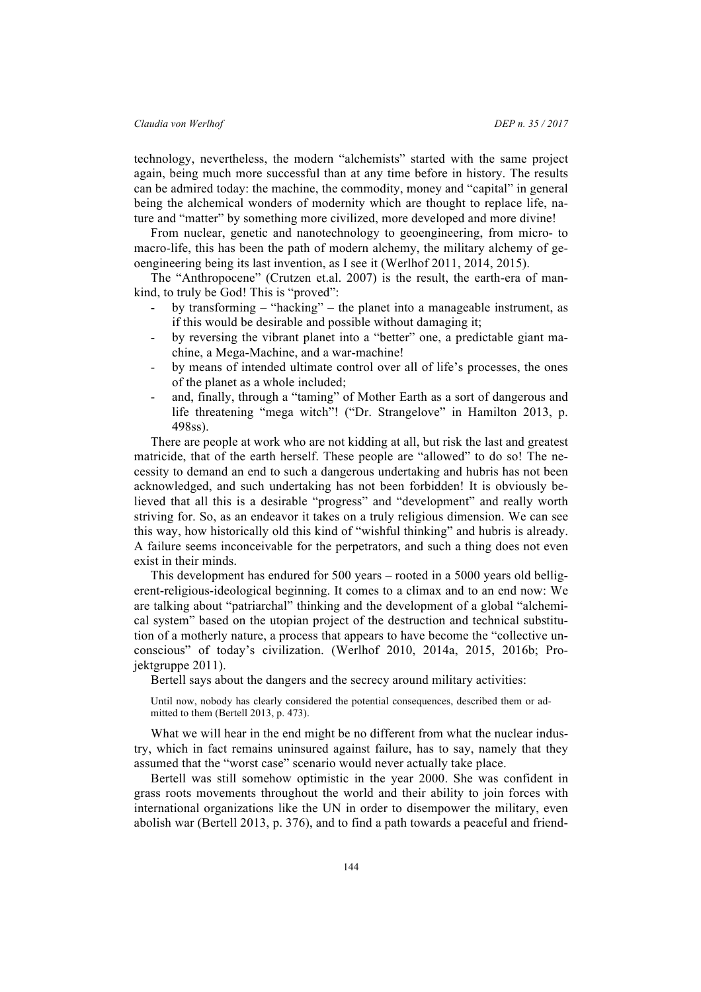technology, nevertheless, the modern "alchemists" started with the same project again, being much more successful than at any time before in history. The results can be admired today: the machine, the commodity, money and "capital" in general being the alchemical wonders of modernity which are thought to replace life, nature and "matter" by something more civilized, more developed and more divine!

From nuclear, genetic and nanotechnology to geoengineering, from micro- to macro-life, this has been the path of modern alchemy, the military alchemy of geoengineering being its last invention, as I see it (Werlhof 2011, 2014, 2015).

The "Anthropocene" (Crutzen et.al. 2007) is the result, the earth-era of mankind, to truly be God! This is "proved":

- by transforming "hacking" the planet into a manageable instrument, as if this would be desirable and possible without damaging it;
- by reversing the vibrant planet into a "better" one, a predictable giant machine, a Mega-Machine, and a war-machine!
- by means of intended ultimate control over all of life's processes, the ones of the planet as a whole included;
- and, finally, through a "taming" of Mother Earth as a sort of dangerous and life threatening "mega witch"! ("Dr. Strangelove" in Hamilton 2013, p. 498ss).

There are people at work who are not kidding at all, but risk the last and greatest matricide, that of the earth herself. These people are "allowed" to do so! The necessity to demand an end to such a dangerous undertaking and hubris has not been acknowledged, and such undertaking has not been forbidden! It is obviously believed that all this is a desirable "progress" and "development" and really worth striving for. So, as an endeavor it takes on a truly religious dimension. We can see this way, how historically old this kind of "wishful thinking" and hubris is already. A failure seems inconceivable for the perpetrators, and such a thing does not even exist in their minds.

This development has endured for 500 years – rooted in a 5000 years old belligerent-religious-ideological beginning. It comes to a climax and to an end now: We are talking about "patriarchal" thinking and the development of a global "alchemical system" based on the utopian project of the destruction and technical substitution of a motherly nature, a process that appears to have become the "collective unconscious" of today's civilization. (Werlhof 2010, 2014a, 2015, 2016b; Projektgruppe 2011).

Bertell says about the dangers and the secrecy around military activities:

Until now, nobody has clearly considered the potential consequences, described them or admitted to them (Bertell 2013, p. 473).

What we will hear in the end might be no different from what the nuclear industry, which in fact remains uninsured against failure, has to say, namely that they assumed that the "worst case" scenario would never actually take place.

Bertell was still somehow optimistic in the year 2000. She was confident in grass roots movements throughout the world and their ability to join forces with international organizations like the UN in order to disempower the military, even abolish war (Bertell 2013, p. 376), and to find a path towards a peaceful and friend-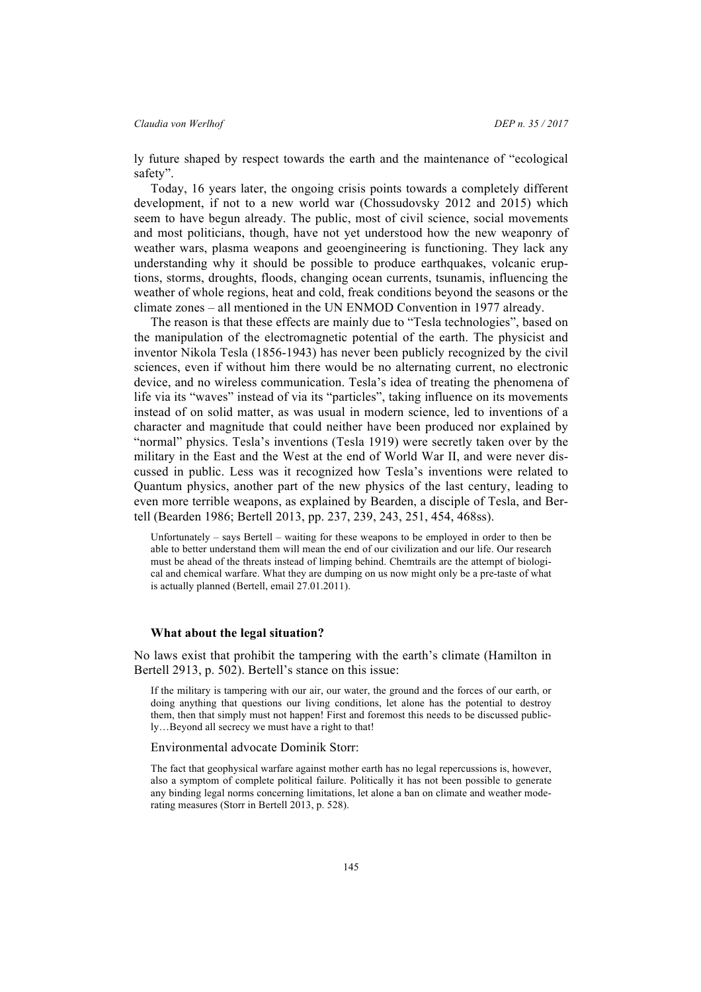ly future shaped by respect towards the earth and the maintenance of "ecological safety".

Today, 16 years later, the ongoing crisis points towards a completely different development, if not to a new world war (Chossudovsky 2012 and 2015) which seem to have begun already. The public, most of civil science, social movements and most politicians, though, have not yet understood how the new weaponry of weather wars, plasma weapons and geoengineering is functioning. They lack any understanding why it should be possible to produce earthquakes, volcanic eruptions, storms, droughts, floods, changing ocean currents, tsunamis, influencing the weather of whole regions, heat and cold, freak conditions beyond the seasons or the climate zones – all mentioned in the UN ENMOD Convention in 1977 already.

The reason is that these effects are mainly due to "Tesla technologies", based on the manipulation of the electromagnetic potential of the earth. The physicist and inventor Nikola Tesla (1856-1943) has never been publicly recognized by the civil sciences, even if without him there would be no alternating current, no electronic device, and no wireless communication. Tesla's idea of treating the phenomena of life via its "waves" instead of via its "particles", taking influence on its movements instead of on solid matter, as was usual in modern science, led to inventions of a character and magnitude that could neither have been produced nor explained by "normal" physics. Tesla's inventions (Tesla 1919) were secretly taken over by the military in the East and the West at the end of World War II, and were never discussed in public. Less was it recognized how Tesla's inventions were related to Quantum physics, another part of the new physics of the last century, leading to even more terrible weapons, as explained by Bearden, a disciple of Tesla, and Bertell (Bearden 1986; Bertell 2013, pp. 237, 239, 243, 251, 454, 468ss).

Unfortunately – says Bertell – waiting for these weapons to be employed in order to then be able to better understand them will mean the end of our civilization and our life. Our research must be ahead of the threats instead of limping behind. Chemtrails are the attempt of biological and chemical warfare. What they are dumping on us now might only be a pre-taste of what is actually planned (Bertell, email 27.01.2011).

#### **What about the legal situation?**

No laws exist that prohibit the tampering with the earth's climate (Hamilton in Bertell 2913, p. 502). Bertell's stance on this issue:

If the military is tampering with our air, our water, the ground and the forces of our earth, or doing anything that questions our living conditions, let alone has the potential to destroy them, then that simply must not happen! First and foremost this needs to be discussed publicly…Beyond all secrecy we must have a right to that!

#### Environmental advocate Dominik Storr:

The fact that geophysical warfare against mother earth has no legal repercussions is, however, also a symptom of complete political failure. Politically it has not been possible to generate any binding legal norms concerning limitations, let alone a ban on climate and weather moderating measures (Storr in Bertell 2013, p. 528).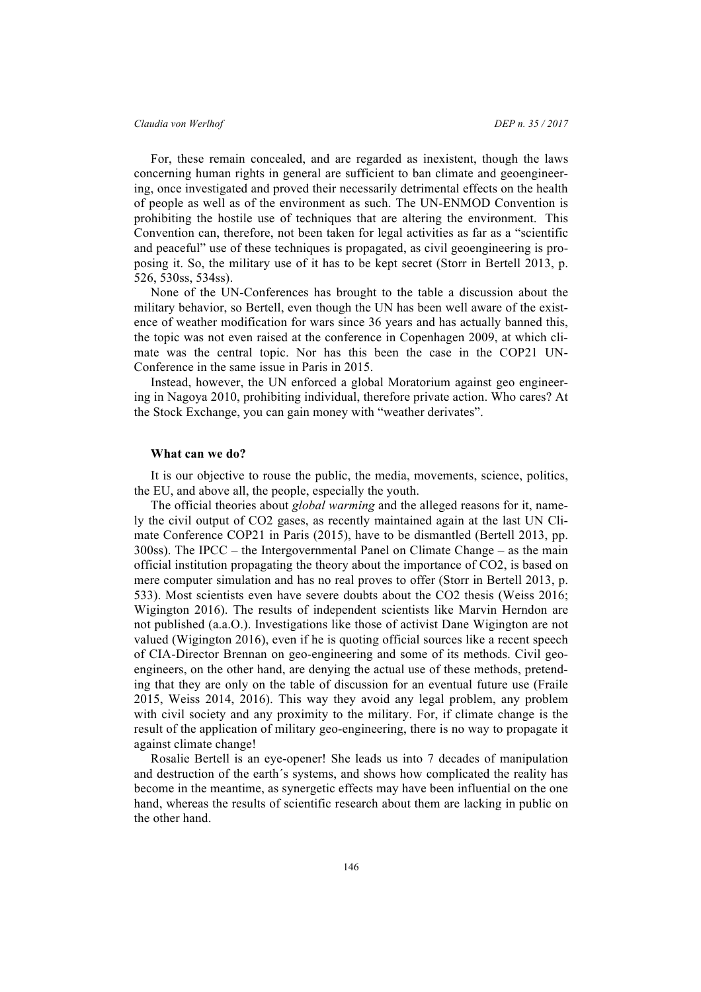For, these remain concealed, and are regarded as inexistent, though the laws concerning human rights in general are sufficient to ban climate and geoengineering, once investigated and proved their necessarily detrimental effects on the health of people as well as of the environment as such. The UN-ENMOD Convention is prohibiting the hostile use of techniques that are altering the environment. This Convention can, therefore, not been taken for legal activities as far as a "scientific and peaceful" use of these techniques is propagated, as civil geoengineering is proposing it. So, the military use of it has to be kept secret (Storr in Bertell 2013, p. 526, 530ss, 534ss).

None of the UN-Conferences has brought to the table a discussion about the military behavior, so Bertell, even though the UN has been well aware of the existence of weather modification for wars since 36 years and has actually banned this, the topic was not even raised at the conference in Copenhagen 2009, at which climate was the central topic. Nor has this been the case in the COP21 UN-Conference in the same issue in Paris in 2015.

Instead, however, the UN enforced a global Moratorium against geo engineering in Nagoya 2010, prohibiting individual, therefore private action. Who cares? At the Stock Exchange, you can gain money with "weather derivates".

#### **What can we do?**

It is our objective to rouse the public, the media, movements, science, politics, the EU, and above all, the people, especially the youth.

The official theories about *global warming* and the alleged reasons for it, namely the civil output of CO2 gases, as recently maintained again at the last UN Climate Conference COP21 in Paris (2015), have to be dismantled (Bertell 2013, pp. 300ss). The IPCC – the Intergovernmental Panel on Climate Change – as the main official institution propagating the theory about the importance of CO2, is based on mere computer simulation and has no real proves to offer (Storr in Bertell 2013, p. 533). Most scientists even have severe doubts about the CO2 thesis (Weiss 2016; Wigington 2016). The results of independent scientists like Marvin Herndon are not published (a.a.O.). Investigations like those of activist Dane Wigington are not valued (Wigington 2016), even if he is quoting official sources like a recent speech of CIA-Director Brennan on geo-engineering and some of its methods. Civil geoengineers, on the other hand, are denying the actual use of these methods, pretending that they are only on the table of discussion for an eventual future use (Fraile 2015, Weiss 2014, 2016). This way they avoid any legal problem, any problem with civil society and any proximity to the military. For, if climate change is the result of the application of military geo-engineering, there is no way to propagate it against climate change!

Rosalie Bertell is an eye-opener! She leads us into 7 decades of manipulation and destruction of the earth´s systems, and shows how complicated the reality has become in the meantime, as synergetic effects may have been influential on the one hand, whereas the results of scientific research about them are lacking in public on the other hand.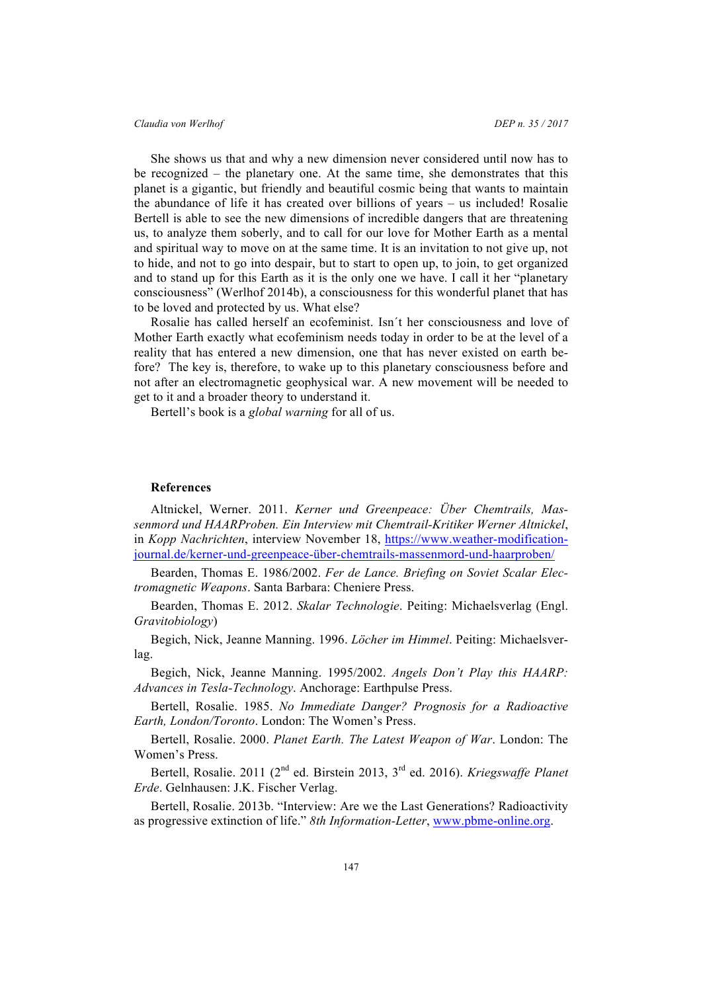She shows us that and why a new dimension never considered until now has to be recognized – the planetary one. At the same time, she demonstrates that this planet is a gigantic, but friendly and beautiful cosmic being that wants to maintain the abundance of life it has created over billions of years – us included! Rosalie Bertell is able to see the new dimensions of incredible dangers that are threatening us, to analyze them soberly, and to call for our love for Mother Earth as a mental and spiritual way to move on at the same time. It is an invitation to not give up, not to hide, and not to go into despair, but to start to open up, to join, to get organized and to stand up for this Earth as it is the only one we have. I call it her "planetary consciousness" (Werlhof 2014b), a consciousness for this wonderful planet that has to be loved and protected by us. What else?

Rosalie has called herself an ecofeminist. Isn´t her consciousness and love of Mother Earth exactly what ecofeminism needs today in order to be at the level of a reality that has entered a new dimension, one that has never existed on earth before? The key is, therefore, to wake up to this planetary consciousness before and not after an electromagnetic geophysical war. A new movement will be needed to get to it and a broader theory to understand it.

Bertell's book is a *global warning* for all of us.

#### **References**

Altnickel, Werner. 2011. *Kerner und Greenpeace: Über Chemtrails, Massenmord und HAARProben. Ein Interview mit Chemtrail-Kritiker Werner Altnickel*, in *Kopp Nachrichten*, interview November 18, https://www.weather-modificationjournal.de/kerner-und-greenpeace-über-chemtrails-massenmord-und-haarproben/

Bearden, Thomas E. 1986/2002. *Fer de Lance. Briefing on Soviet Scalar Electromagnetic Weapons*. Santa Barbara: Cheniere Press.

Bearden, Thomas E. 2012. *Skalar Technologie*. Peiting: Michaelsverlag (Engl. *Gravitobiology*)

Begich, Nick, Jeanne Manning. 1996. *Löcher im Himmel*. Peiting: Michaelsverlag.

Begich, Nick, Jeanne Manning. 1995/2002. *Angels Don't Play this HAARP: Advances in Tesla-Technology*. Anchorage: Earthpulse Press.

Bertell, Rosalie. 1985. *No Immediate Danger? Prognosis for a Radioactive Earth, London/Toronto*. London: The Women's Press.

Bertell, Rosalie. 2000. *Planet Earth. The Latest Weapon of War*. London: The Women's Press.

Bertell, Rosalie. 2011 (2nd ed. Birstein 2013, 3rd ed. 2016). *Kriegswaffe Planet Erde*. Gelnhausen: J.K. Fischer Verlag.

Bertell, Rosalie. 2013b. "Interview: Are we the Last Generations? Radioactivity as progressive extinction of life." *8th Information-Letter*, www.pbme-online.org.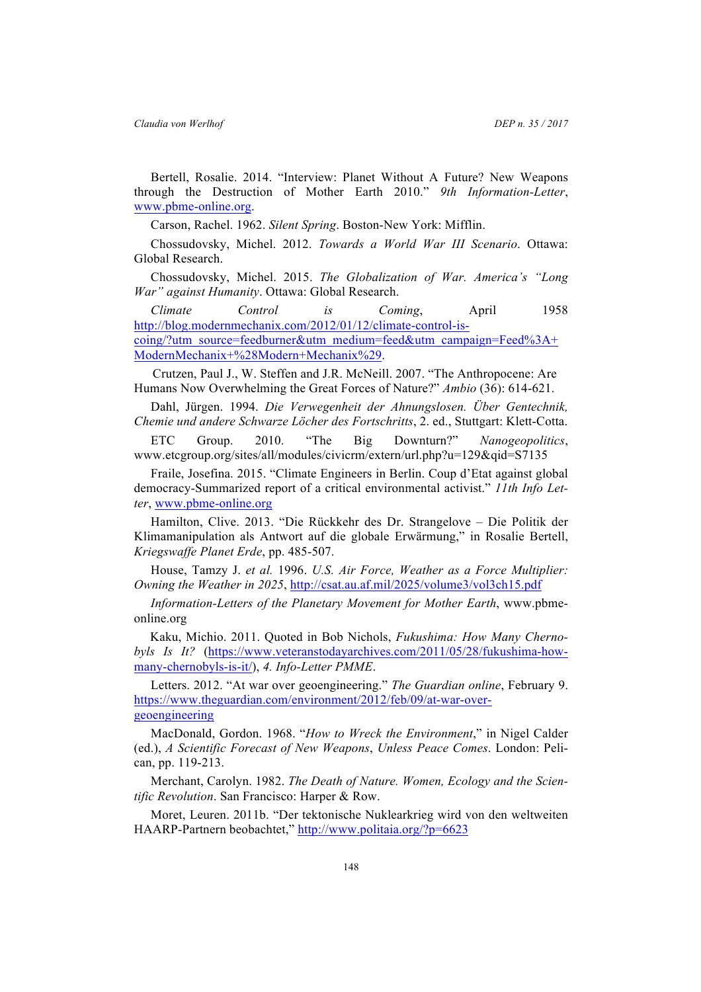Bertell, Rosalie. 2014. "Interview: Planet Without A Future? New Weapons through the Destruction of Mother Earth 2010." *9th Information-Letter*, www.pbme-online.org.

Carson, Rachel. 1962. *Silent Spring*. Boston-New York: Mifflin.

Chossudovsky, Michel. 2012. *Towards a World War III Scenario*. Ottawa: Global Research.

Chossudovsky, Michel. 2015. *The Globalization of War. America's "Long War" against Humanity*. Ottawa: Global Research.

*Climate Control is Coming*, April 1958 http://blog.modernmechanix.com/2012/01/12/climate-control-iscoing/?utm\_source=feedburner&utm\_medium=feed&utm\_campaign=Feed%3A+ ModernMechanix+%28Modern+Mechanix%29.

 Crutzen, Paul J., W. Steffen and J.R. McNeill. 2007. "The Anthropocene: Are Humans Now Overwhelming the Great Forces of Nature?" *Ambio* (36): 614-621.

Dahl, Jürgen. 1994. *Die Verwegenheit der Ahnungslosen. Über Gentechnik, Chemie und andere Schwarze Löcher des Fortschritts*, 2. ed., Stuttgart: Klett-Cotta.

ETC Group. 2010. "The Big Downturn?" *Nanogeopolitics*, www.etcgroup.org/sites/all/modules/civicrm/extern/url.php?u=129&qid=S7135

Fraile, Josefina. 2015. "Climate Engineers in Berlin. Coup d'Etat against global democracy-Summarized report of a critical environmental activist." *11th Info Letter*, www.pbme-online.org

Hamilton, Clive. 2013. "Die Rückkehr des Dr. Strangelove – Die Politik der Klimamanipulation als Antwort auf die globale Erwärmung," in Rosalie Bertell, *Kriegswaffe Planet Erde*, pp. 485-507.

House, Tamzy J. *et al.* 1996. *U.S. Air Force, Weather as a Force Multiplier: Owning the Weather in 2025*, http://csat.au.af.mil/2025/volume3/vol3ch15.pdf

*Information-Letters of the Planetary Movement for Mother Earth*, www.pbmeonline.org

 Kaku, Michio. 2011. Quoted in Bob Nichols, *Fukushima: How Many Chernobyls Is It?* (https://www.veteranstodayarchives.com/2011/05/28/fukushima-howmany-chernobyls-is-it/), *4. Info-Letter PMME*.

Letters. 2012. "At war over geoengineering." *The Guardian online*, February 9. https://www.theguardian.com/environment/2012/feb/09/at-war-overgeoengineering

MacDonald, Gordon. 1968. "*How to Wreck the Environment*," in Nigel Calder (ed.), *A Scientific Forecast of New Weapons*, *Unless Peace Comes*. London: Pelican, pp. 119-213.

Merchant, Carolyn. 1982. *The Death of Nature. Women, Ecology and the Scientific Revolution*. San Francisco: Harper & Row.

Moret, Leuren. 2011b. "Der tektonische Nuklearkrieg wird von den weltweiten HAARP-Partnern beobachtet," http://www.politaia.org/?p=6623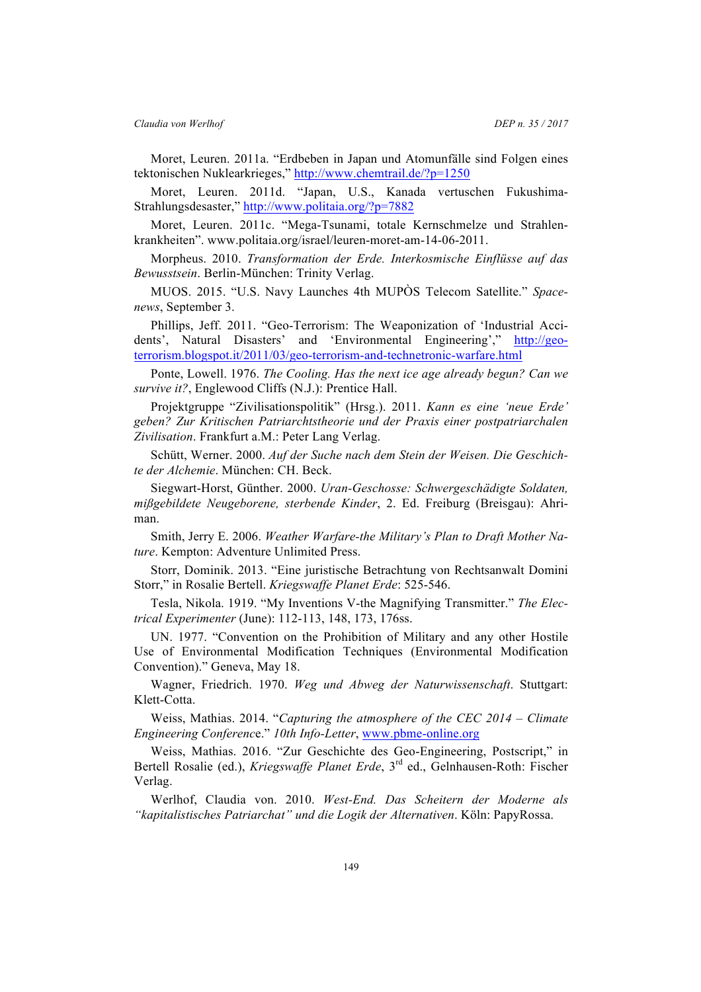Moret, Leuren. 2011a. "Erdbeben in Japan und Atomunfälle sind Folgen eines tektonischen Nuklearkrieges," http://www.chemtrail.de/?p=1250

Moret, Leuren. 2011d. "Japan, U.S., Kanada vertuschen Fukushima-Strahlungsdesaster," http://www.politaia.org/?p=7882

Moret, Leuren. 2011c. "Mega-Tsunami, totale Kernschmelze und Strahlenkrankheiten". www.politaia.org/israel/leuren-moret-am-14-06-2011.

Morpheus. 2010. *Transformation der Erde. Interkosmische Einflüsse auf das Bewusstsein*. Berlin-München: Trinity Verlag.

MUOS. 2015. "U.S. Navy Launches 4th MUPÒS Telecom Satellite." *Spacenews*, September 3.

Phillips, Jeff. 2011. "Geo-Terrorism: The Weaponization of 'Industrial Accidents', Natural Disasters' and 'Environmental Engineering'," http://geoterrorism.blogspot.it/2011/03/geo-terrorism-and-technetronic-warfare.html

Ponte, Lowell. 1976. *The Cooling. Has the next ice age already begun? Can we survive it?*, Englewood Cliffs (N.J.): Prentice Hall.

Projektgruppe "Zivilisationspolitik" (Hrsg.). 2011. *Kann es eine 'neue Erde' geben? Zur Kritischen Patriarchtstheorie und der Praxis einer postpatriarchalen Zivilisation*. Frankfurt a.M.: Peter Lang Verlag.

Schütt, Werner. 2000. *Auf der Suche nach dem Stein der Weisen. Die Geschichte der Alchemie*. München: CH. Beck.

Siegwart-Horst, Günther. 2000. *Uran-Geschosse: Schwergeschädigte Soldaten, mißgebildete Neugeborene, sterbende Kinder*, 2. Ed. Freiburg (Breisgau): Ahriman.

Smith, Jerry E. 2006. *Weather Warfare-the Military's Plan to Draft Mother Nature*. Kempton: Adventure Unlimited Press.

Storr, Dominik. 2013. "Eine juristische Betrachtung von Rechtsanwalt Domini Storr," in Rosalie Bertell. *Kriegswaffe Planet Erde*: 525-546.

Tesla, Nikola. 1919. "My Inventions V-the Magnifying Transmitter." *The Electrical Experimenter* (June): 112-113, 148, 173, 176ss.

UN. 1977. "Convention on the Prohibition of Military and any other Hostile Use of Environmental Modification Techniques (Environmental Modification Convention)." Geneva, May 18.

Wagner, Friedrich. 1970. *Weg und Abweg der Naturwissenschaft*. Stuttgart: Klett-Cotta.

Weiss, Mathias. 2014. "*Capturing the atmosphere of the CEC 2014 – Climate Engineering Conferenc*e." *10th Info-Letter*, www.pbme-online.org

Weiss, Mathias. 2016. "Zur Geschichte des Geo-Engineering, Postscript," in Bertell Rosalie (ed.), *Kriegswaffe Planet Erde*, 3rd ed., Gelnhausen-Roth: Fischer Verlag.

Werlhof, Claudia von. 2010. *West-End. Das Scheitern der Moderne als "kapitalistisches Patriarchat" und die Logik der Alternativen*. Köln: PapyRossa.